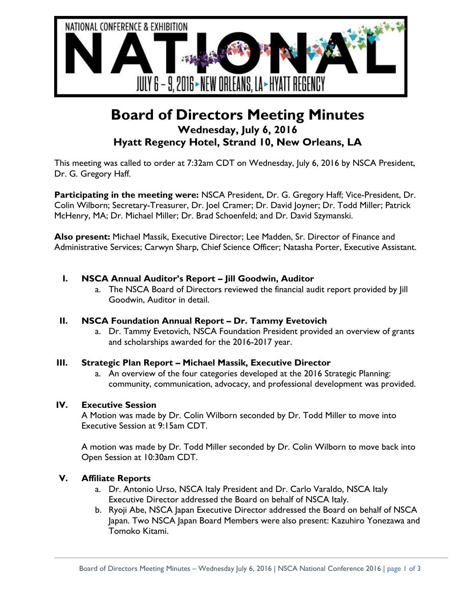

# **Board of Directors Meeting Minutes Wednesday, July 6, 2016 Hyatt Regency Hotel, Strand 10, New Orleans, LA**

This meeting was called to order at 7:32am CDT on Wednesday, July 6, 2016 by NSCA President, Dr. G. Gregory Haff.

**Participating in the meeting were:** NSCA President, Dr. G. Gregory Haff; Vice-President, Dr. Colin Wilborn; Secretary-Treasurer, Dr. Joel Cramer; Dr. David Joyner; Dr. Todd Miller; Patrick McHenry, MA; Dr. Michael Miller; Dr. Brad Schoenfeld; and Dr. David Szymanski.

**Also present:** Michael Massik, Executive Director; Lee Madden, Sr. Director of Finance and Administrative Services; Carwyn Sharp, Chief Science Officer; Natasha Porter, Executive Assistant.

# **I. NSCA Annual Auditor's Report – Jill Goodwin, Auditor**

a. The NSCA Board of Directors reviewed the financial audit report provided by Jill Goodwin, Auditor in detail.

#### **II. NSCA Foundation Annual Report – Dr. Tammy Evetovich**

a. Dr. Tammy Evetovich, NSCA Foundation President provided an overview of grants and scholarships awarded for the 2016-2017 year.

#### **III. Strategic Plan Report – Michael Massik, Executive Director**

a. An overview of the four categories developed at the 2016 Strategic Planning: community, communication, advocacy, and professional development was provided.

#### **IV. Executive Session**

A Motion was made by Dr. Colin Wilborn seconded by Dr. Todd Miller to move into Executive Session at 9:15am CDT.

A motion was made by Dr. Todd Miller seconded by Dr. Colin Wilborn to move back into Open Session at 10:30am CDT.

#### **V. Affiliate Reports**

- a. Dr. Antonio Urso, NSCA Italy President and Dr. Carlo Varaldo, NSCA Italy Executive Director addressed the Board on behalf of NSCA Italy.
- b. Ryoji Abe, NSCA Japan Executive Director addressed the Board on behalf of NSCA Japan. Two NSCA Japan Board Members were also present: Kazuhiro Yonezawa and Tomoko Kitami.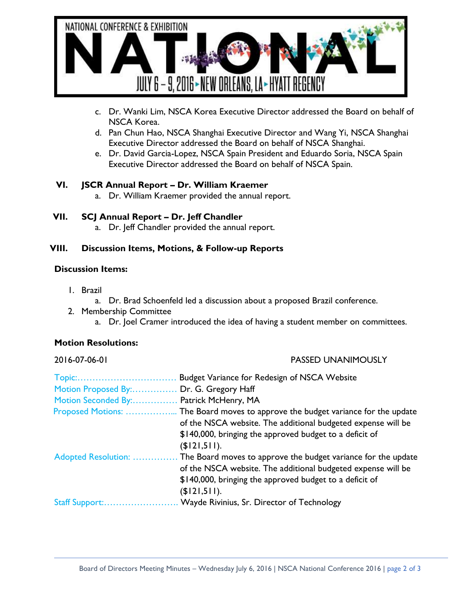

- c. Dr. Wanki Lim, NSCA Korea Executive Director addressed the Board on behalf of NSCA Korea.
- d. Pan Chun Hao, NSCA Shanghai Executive Director and Wang Yi, NSCA Shanghai Executive Director addressed the Board on behalf of NSCA Shanghai.
- e. Dr. David Garcia-Lopez, NSCA Spain President and Eduardo Soria, NSCA Spain Executive Director addressed the Board on behalf of NSCA Spain.

# **VI. JSCR Annual Report – Dr. William Kraemer**

a. Dr. William Kraemer provided the annual report.

# **VII. SCJ Annual Report – Dr. Jeff Chandler**

a. Dr. Jeff Chandler provided the annual report.

# **VIII. Discussion Items, Motions, & Follow-up Reports**

#### **Discussion Items:**

- 1. Brazil
	- a. Dr. Brad Schoenfeld led a discussion about a proposed Brazil conference.
- 2. Membership Committee
	- a. Dr. Joel Cramer introduced the idea of having a student member on committees.

# **Motion Resolutions:**

#### 2016-07-06-01 PASSED UNANIMOUSLY

| Topic:                 | Budget Variance for Redesign of NSCA Website                  |
|------------------------|---------------------------------------------------------------|
| Motion Proposed By:    | Dr. G. Gregory Haff                                           |
| Motion Seconded By:    | Patrick McHenry, MA                                           |
| Proposed Motions:      | The Board moves to approve the budget variance for the update |
|                        | of the NSCA website. The additional budgeted expense will be  |
|                        | \$140,000, bringing the approved budget to a deficit of       |
|                        | (\$121,511).                                                  |
| Adopted Resolution:    | The Board moves to approve the budget variance for the update |
|                        | of the NSCA website. The additional budgeted expense will be  |
|                        | \$140,000, bringing the approved budget to a deficit of       |
|                        | (\$121,511).                                                  |
| <b>Staff Support:.</b> | Wayde Rivinius, Sr. Director of Technology                    |